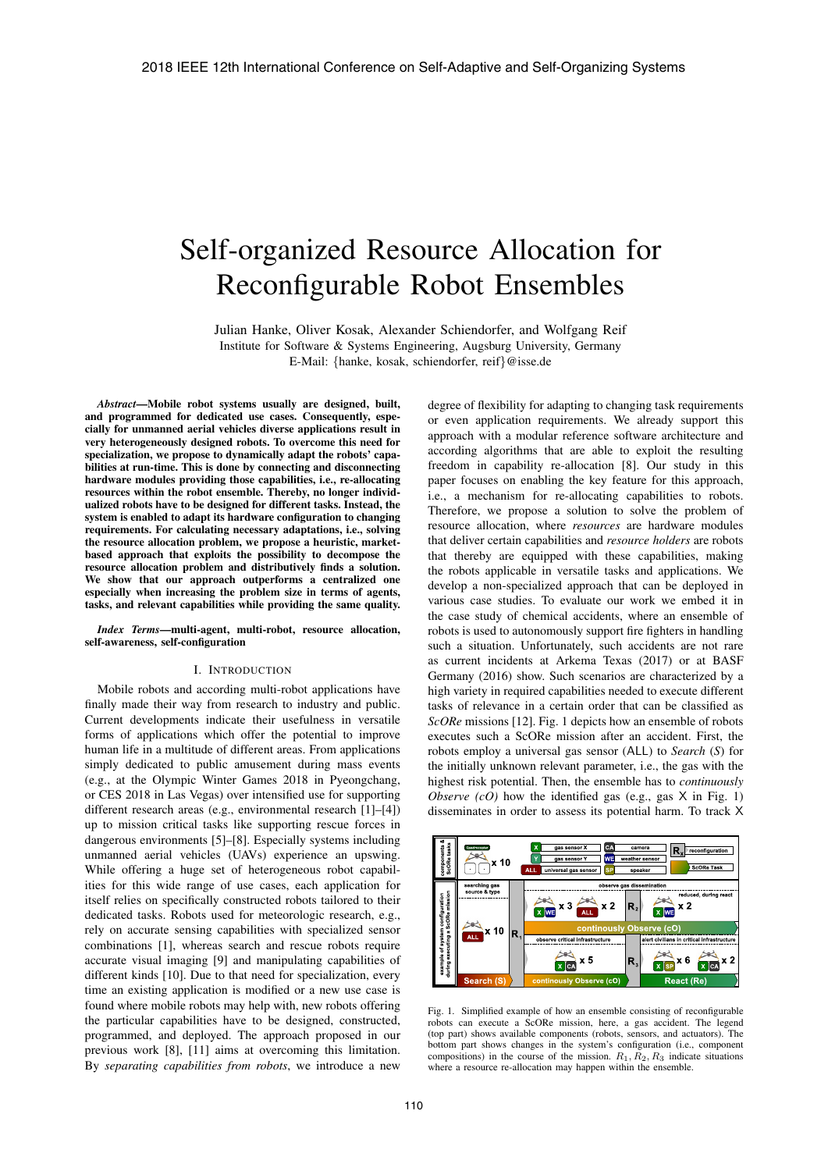# Self-organized Resource Allocation for Reconfigurable Robot Ensembles

Julian Hanke, Oliver Kosak, Alexander Schiendorfer, and Wolfgang Reif Institute for Software & Systems Engineering, Augsburg University, Germany E-Mail: {hanke, kosak, schiendorfer, reif}@isse.de

*Abstract*—Mobile robot systems usually are designed, built, and programmed for dedicated use cases. Consequently, especially for unmanned aerial vehicles diverse applications result in very heterogeneously designed robots. To overcome this need for specialization, we propose to dynamically adapt the robots' capabilities at run-time. This is done by connecting and disconnecting hardware modules providing those capabilities, i.e., re-allocating resources within the robot ensemble. Thereby, no longer individualized robots have to be designed for different tasks. Instead, the system is enabled to adapt its hardware configuration to changing requirements. For calculating necessary adaptations, i.e., solving the resource allocation problem, we propose a heuristic, marketbased approach that exploits the possibility to decompose the resource allocation problem and distributively finds a solution. We show that our approach outperforms a centralized one especially when increasing the problem size in terms of agents, tasks, and relevant capabilities while providing the same quality.

*Index Terms*—multi-agent, multi-robot, resource allocation, self-awareness, self-configuration

#### I. INTRODUCTION

Mobile robots and according multi-robot applications have finally made their way from research to industry and public. Current developments indicate their usefulness in versatile forms of applications which offer the potential to improve human life in a multitude of different areas. From applications simply dedicated to public amusement during mass events (e.g., at the Olympic Winter Games 2018 in Pyeongchang, or CES 2018 in Las Vegas) over intensified use for supporting different research areas (e.g., environmental research [1]–[4]) up to mission critical tasks like supporting rescue forces in dangerous environments [5]–[8]. Especially systems including unmanned aerial vehicles (UAVs) experience an upswing. While offering a huge set of heterogeneous robot capabilities for this wide range of use cases, each application for itself relies on specifically constructed robots tailored to their dedicated tasks. Robots used for meteorologic research, e.g., rely on accurate sensing capabilities with specialized sensor combinations [1], whereas search and rescue robots require accurate visual imaging [9] and manipulating capabilities of different kinds [10]. Due to that need for specialization, every time an existing application is modified or a new use case is found where mobile robots may help with, new robots offering the particular capabilities have to be designed, constructed, programmed, and deployed. The approach proposed in our previous work [8], [11] aims at overcoming this limitation. By *separating capabilities from robots*, we introduce a new

degree of flexibility for adapting to changing task requirements or even application requirements. We already support this approach with a modular reference software architecture and according algorithms that are able to exploit the resulting freedom in capability re-allocation [8]. Our study in this paper focuses on enabling the key feature for this approach, i.e., a mechanism for re-allocating capabilities to robots. Therefore, we propose a solution to solve the problem of resource allocation, where *resources* are hardware modules that deliver certain capabilities and *resource holders* are robots that thereby are equipped with these capabilities, making the robots applicable in versatile tasks and applications. We develop a non-specialized approach that can be deployed in various case studies. To evaluate our work we embed it in the case study of chemical accidents, where an ensemble of robots is used to autonomously support fire fighters in handling such a situation. Unfortunately, such accidents are not rare as current incidents at Arkema Texas (2017) or at BASF Germany (2016) show. Such scenarios are characterized by a high variety in required capabilities needed to execute different tasks of relevance in a certain order that can be classified as *ScORe* missions [12]. Fig. 1 depicts how an ensemble of robots executes such a ScORe mission after an accident. First, the robots employ a universal gas sensor (ALL) to *Search* (*S*) for the initially unknown relevant parameter, i.e., the gas with the highest risk potential. Then, the ensemble has to *continuously Observe*  $(cO)$  how the identified gas (e.g., gas  $X$  in Fig. 1) disseminates in order to assess its potential harm. To track X



Fig. 1. Simplified example of how an ensemble consisting of reconfigurable robots can execute a ScORe mission, here, a gas accident. The legend (top part) shows available components (robots, sensors, and actuators). The bottom part shows changes in the system's configuration (i.e., component compositions) in the course of the mission.  $R_1, R_2, R_3$  indicate situations where a resource re-allocation may happen within the ensemble.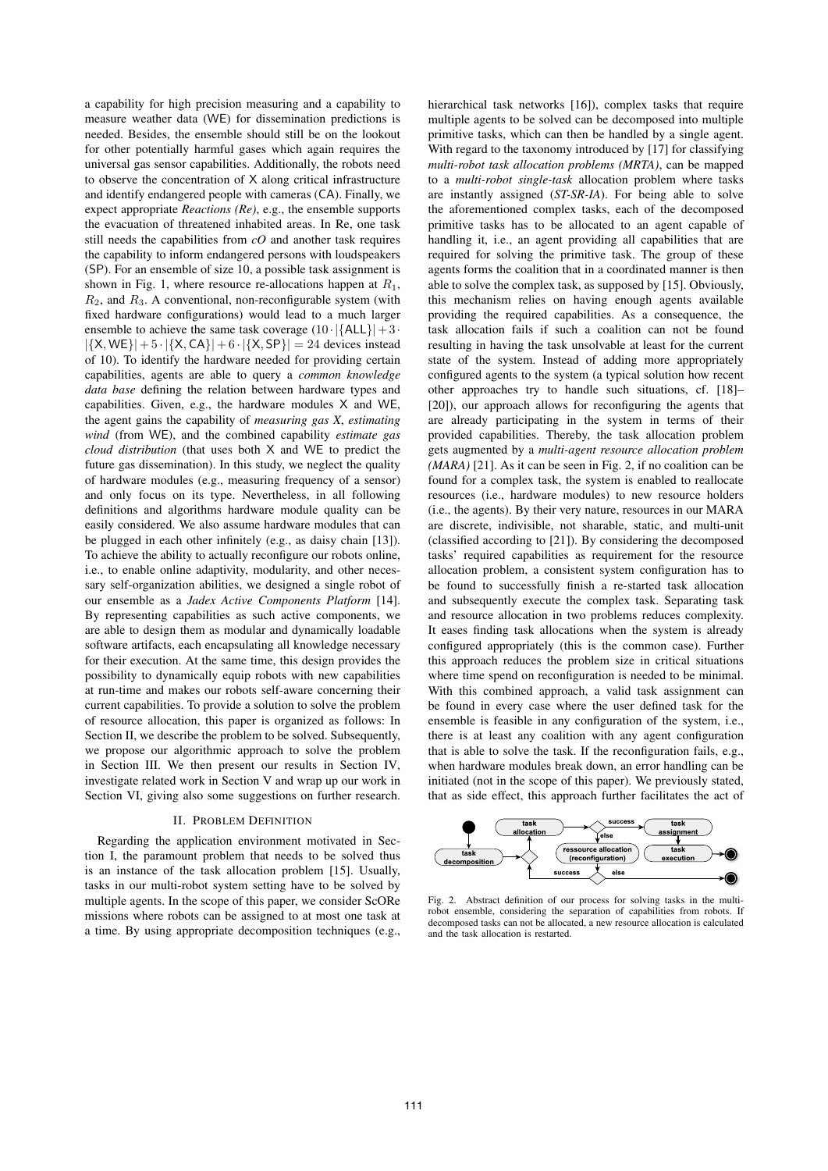a capability for high precision measuring and a capability to measure weather data (WE) for dissemination predictions is needed. Besides, the ensemble should still be on the lookout for other potentially harmful gases which again requires the universal gas sensor capabilities. Additionally, the robots need to observe the concentration of X along critical infrastructure and identify endangered people with cameras (CA). Finally, we expect appropriate *Reactions (Re)*, e.g., the ensemble supports the evacuation of threatened inhabited areas. In Re, one task still needs the capabilities from *cO* and another task requires the capability to inform endangered persons with loudspeakers (SP). For an ensemble of size 10, a possible task assignment is shown in Fig. 1, where resource re-allocations happen at  $R_1$ ,  $R_2$ , and  $R_3$ . A conventional, non-reconfigurable system (with fixed hardware configurations) would lead to a much larger ensemble to achieve the same task coverage  $(10 \cdot |\{\text{ALL}\}| + 3 \cdot$  $|\{X, WE\}| + 5 \cdot |\{X, CA\}| + 6 \cdot |\{X, SP\}| = 24$  devices instead of 10). To identify the hardware needed for providing certain capabilities, agents are able to query a *common knowledge data base* defining the relation between hardware types and capabilities. Given, e.g., the hardware modules X and WE, the agent gains the capability of *measuring gas X*, *estimating wind* (from WE), and the combined capability *estimate gas cloud distribution* (that uses both X and WE to predict the future gas dissemination). In this study, we neglect the quality of hardware modules (e.g., measuring frequency of a sensor) and only focus on its type. Nevertheless, in all following definitions and algorithms hardware module quality can be easily considered. We also assume hardware modules that can be plugged in each other infinitely (e.g., as daisy chain [13]). To achieve the ability to actually reconfigure our robots online, i.e., to enable online adaptivity, modularity, and other necessary self-organization abilities, we designed a single robot of our ensemble as a *Jadex Active Components Platform* [14]. By representing capabilities as such active components, we are able to design them as modular and dynamically loadable software artifacts, each encapsulating all knowledge necessary for their execution. At the same time, this design provides the possibility to dynamically equip robots with new capabilities at run-time and makes our robots self-aware concerning their current capabilities. To provide a solution to solve the problem of resource allocation, this paper is organized as follows: In Section II, we describe the problem to be solved. Subsequently, we propose our algorithmic approach to solve the problem in Section III. We then present our results in Section IV, investigate related work in Section V and wrap up our work in Section VI, giving also some suggestions on further research.

#### II. PROBLEM DEFINITION

Regarding the application environment motivated in Section I, the paramount problem that needs to be solved thus is an instance of the task allocation problem [15]. Usually, tasks in our multi-robot system setting have to be solved by multiple agents. In the scope of this paper, we consider ScORe missions where robots can be assigned to at most one task at a time. By using appropriate decomposition techniques (e.g.,

hierarchical task networks [16]), complex tasks that require multiple agents to be solved can be decomposed into multiple primitive tasks, which can then be handled by a single agent. With regard to the taxonomy introduced by [17] for classifying *multi-robot task allocation problems (MRTA)*, can be mapped to a *multi-robot single-task* allocation problem where tasks are instantly assigned (*ST-SR-IA*). For being able to solve the aforementioned complex tasks, each of the decomposed primitive tasks has to be allocated to an agent capable of handling it, i.e., an agent providing all capabilities that are required for solving the primitive task. The group of these agents forms the coalition that in a coordinated manner is then able to solve the complex task, as supposed by [15]. Obviously, this mechanism relies on having enough agents available providing the required capabilities. As a consequence, the task allocation fails if such a coalition can not be found resulting in having the task unsolvable at least for the current state of the system. Instead of adding more appropriately configured agents to the system (a typical solution how recent other approaches try to handle such situations, cf. [18]– [20]), our approach allows for reconfiguring the agents that are already participating in the system in terms of their provided capabilities. Thereby, the task allocation problem gets augmented by a *multi-agent resource allocation problem (MARA)* [21]. As it can be seen in Fig. 2, if no coalition can be found for a complex task, the system is enabled to reallocate resources (i.e., hardware modules) to new resource holders (i.e., the agents). By their very nature, resources in our MARA are discrete, indivisible, not sharable, static, and multi-unit (classified according to [21]). By considering the decomposed tasks' required capabilities as requirement for the resource allocation problem, a consistent system configuration has to be found to successfully finish a re-started task allocation and subsequently execute the complex task. Separating task and resource allocation in two problems reduces complexity. It eases finding task allocations when the system is already configured appropriately (this is the common case). Further this approach reduces the problem size in critical situations where time spend on reconfiguration is needed to be minimal. With this combined approach, a valid task assignment can be found in every case where the user defined task for the ensemble is feasible in any configuration of the system, i.e., there is at least any coalition with any agent configuration that is able to solve the task. If the reconfiguration fails, e.g., when hardware modules break down, an error handling can be initiated (not in the scope of this paper). We previously stated, that as side effect, this approach further facilitates the act of



Fig. 2. Abstract definition of our process for solving tasks in the multirobot ensemble, considering the separation of capabilities from robots. If decomposed tasks can not be allocated, a new resource allocation is calculated and the task allocation is restarted.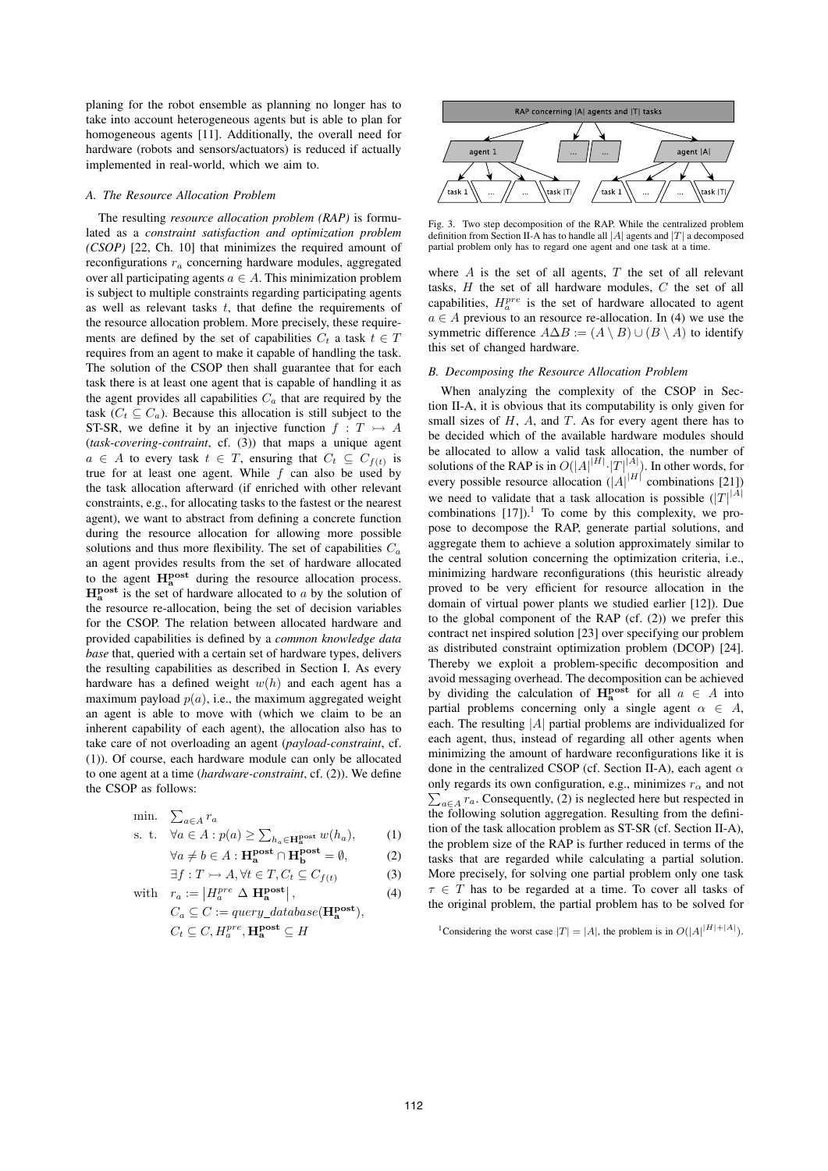planing for the robot ensemble as planning no longer has to take into account heterogeneous agents but is able to plan for homogeneous agents [11]. Additionally, the overall need for hardware (robots and sensors/actuators) is reduced if actually implemented in real-world, which we aim to.

### *A. The Resource Allocation Problem*

The resulting *resource allocation problem (RAP)* is formulated as a *constraint satisfaction and optimization problem (CSOP)* [22, Ch. 10] that minimizes the required amount of reconfigurations  $r_a$  concerning hardware modules, aggregated over all participating agents  $a \in A$ . This minimization problem is subject to multiple constraints regarding participating agents as well as relevant tasks  $t$ , that define the requirements of the resource allocation problem. More precisely, these requirements are defined by the set of capabilities  $C_t$  a task  $t \in T$ requires from an agent to make it capable of handling the task. The solution of the CSOP then shall guarantee that for each task there is at least one agent that is capable of handling it as the agent provides all capabilities  $C_a$  that are required by the task ( $C_t \subseteq C_a$ ). Because this allocation is still subject to the ST-SR, we define it by an injective function  $f : T \rightarrow A$ (*task-covering-contraint*, cf. (3)) that maps a unique agent  $a \in A$  to every task  $t \in T$ , ensuring that  $C_t \subseteq C_{f(t)}$  is true for at least one agent. While  $f$  can also be used by the task allocation afterward (if enriched with other relevant constraints, e.g., for allocating tasks to the fastest or the nearest agent), we want to abstract from defining a concrete function during the resource allocation for allowing more possible solutions and thus more flexibility. The set of capabilities  $C_a$ an agent provides results from the set of hardware allocated to the agent **Hpost <sup>a</sup>** during the resource allocation process.  $H_a^{post}$  is the set of hardware allocated to a by the solution of the resource re-allocation, being the set of decision variables for the CSOP. The relation between allocated hardware and provided capabilities is defined by a *common knowledge data base* that, queried with a certain set of hardware types, delivers the resulting capabilities as described in Section I. As every hardware has a defined weight  $w(h)$  and each agent has a maximum payload  $p(a)$ , i.e., the maximum aggregated weight an agent is able to move with (which we claim to be an inherent capability of each agent), the allocation also has to take care of not overloading an agent (*payload-constraint*, cf. (1)). Of course, each hardware module can only be allocated to one agent at a time (*hardware-constraint*, cf. (2)). We define the CSOP as follows:

min. 
$$
\sum_{a \in A} r_a
$$
  
s. t.  $\forall a \in A : p(a) \ge \sum_{h_a \in \mathbf{H}^{\text{post}}} w(h_a),$  (1)

$$
\text{Let } \forall a \in A : p(a) \ge \sum_{h_a \in \mathbf{H}_a^{\text{post}}} w(h_a), \tag{1}
$$

$$
\forall a \neq b \in A : \mathbf{H}_{\mathbf{a}}^{\mathbf{post}} \cap \mathbf{H}_{\mathbf{b}}^{\mathbf{post}} = \emptyset,
$$
 (2)  

$$
\exists f : T \rightarrow A \ \forall t \in T \ C_{t} \subset C_{t}(t)
$$
 (3)

$$
\exists f: T \rightarrow A, \forall t \in T, C_t \subseteq C_{f(t)} \tag{3}
$$
  
with  $r_a := |H_a^{pre} \Delta \mathbf{H}_a^{\text{post}}|,$  (4)

with 
$$
r_a := |H_a^{pre} \Delta \mathbf{H}_a^{post}|
$$
,  
\n $C_a \subseteq C := query\_database(\mathbf{H}_a^{post})$ ,  
\n $C_t \subseteq C, H_a^{pre}, \mathbf{H}_a^{post} \subseteq H$ 



Fig. 3. Two step decomposition of the RAP. While the centralized problem definition from Section II-A has to handle all |A| agents and |T| a decomposed partial problem only has to regard one agent and one task at a time.

where  $A$  is the set of all agents,  $T$  the set of all relevant tasks,  $H$  the set of all hardware modules,  $C$  the set of all capabilities,  $H_a^{pre}$  is the set of hardware allocated to agent  $a \in A$  previous to an resource re-allocation. In (4) we use the symmetric difference  $A \Delta B := (A \setminus B) \cup (B \setminus A)$  to identify this set of changed hardware.

## *B. Decomposing the Resource Allocation Problem*

When analyzing the complexity of the CSOP in Section II-A, it is obvious that its computability is only given for small sizes of  $H$ ,  $A$ , and  $T$ . As for every agent there has to be decided which of the available hardware modules should be allocated to allow a valid task allocation, the number of solutions of the RAP is in  $O(|A|^{|H|} \cdot |T|^{|A|})$ . In other words, for every possible resource allocation  $(|A|^{|H|}$  combinations [21]) we need to validate that a task allocation is possible  $(|T|^{|\mathcal{A}|})$ combinations  $[17]$ ).<sup>1</sup> To come by this complexity, we propose to decompose the RAP, generate partial solutions, and aggregate them to achieve a solution approximately similar to the central solution concerning the optimization criteria, i.e., minimizing hardware reconfigurations (this heuristic already proved to be very efficient for resource allocation in the domain of virtual power plants we studied earlier [12]). Due to the global component of the RAP (cf. (2)) we prefer this contract net inspired solution [23] over specifying our problem as distributed constraint optimization problem (DCOP) [24]. Thereby we exploit a problem-specific decomposition and avoid messaging overhead. The decomposition can be achieved by dividing the calculation of  $\mathbf{H}_{a}^{\text{post}}$  for all  $a \in A$  into partial problems concerning only a single agent  $\alpha \in A$ , each. The resulting  $|A|$  partial problems are individualized for each agent, thus, instead of regarding all other agents when minimizing the amount of hardware reconfigurations like it is done in the centralized CSOP (cf. Section II-A), each agent  $\alpha$ only regards its own configuration, e.g., minimizes  $r_\alpha$  and not  $\sum_{a \in A} r_a$ . Consequently, (2) is neglected here but respected in the following solution aggregation. Resulting from the definition of the task allocation problem as ST-SR (cf. Section II-A), the problem size of the RAP is further reduced in terms of the tasks that are regarded while calculating a partial solution. More precisely, for solving one partial problem only one task  $\tau \in T$  has to be regarded at a time. To cover all tasks of the original problem, the partial problem has to be solved for

<sup>1</sup>Considering the worst case  $|T| = |A|$ , the problem is in  $O(|A|^{|H|+|A|})$ .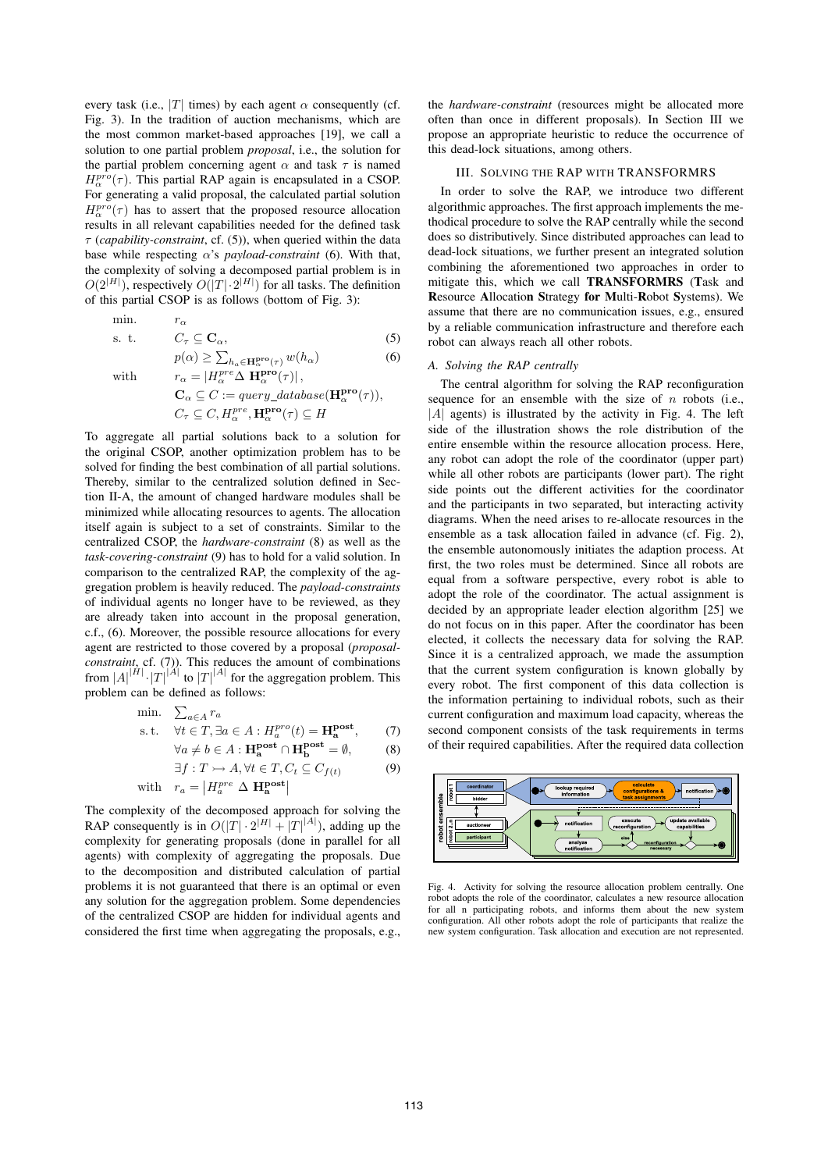every task (i.e., |T| times) by each agent  $\alpha$  consequently (cf. Fig. 3). In the tradition of auction mechanisms, which are the most common market-based approaches [19], we call a solution to one partial problem *proposal*, i.e., the solution for the partial problem concerning agent  $\alpha$  and task  $\tau$  is named  $H_\alpha^{pro}(\tau)$ . This partial RAP again is encapsulated in a CSOP. For generating a valid proposal, the calculated partial solution  $H_\alpha^{pro}(\tau)$  has to assert that the proposed resource allocation results in all relevant capabilities needed for the defined task τ (*capability-constraint*, cf. (5)), when queried within the data base while respecting  $\alpha$ 's *payload-constraint* (6). With that, the complexity of solving a decomposed partial problem is in  $O(2^{|H|})$ , respectively  $O(|T| \cdot 2^{|H|})$  for all tasks. The definition of this partial CSOP is as follows (bottom of Fig. 3):

min. 
$$
r_{\alpha}
$$
  
s. t.  $C_{\tau} \subseteq \mathbf{C}_{\alpha}$ , (5)

$$
p(\alpha) \ge \sum_{h_{\alpha} \in \mathbf{H}_{\alpha}^{\text{pro}}(\tau)} w(h_{\alpha})
$$
\n
$$
r_{\alpha} = |H_{\alpha}^{\text{pre}} \Delta \mathbf{H}_{\alpha}^{\text{pro}}(\tau)|,
$$
\n(6)

$$
\mathbf{C}_{\alpha} \subseteq C := query\_database(\mathbf{H}_{\alpha}^{\mathbf{pro}}(\tau)),
$$
  

$$
C_{\tau} \subseteq C, H_{\alpha}^{pre}, \mathbf{H}_{\alpha}^{\mathbf{pro}}(\tau) \subseteq H
$$

To aggregate all partial solutions back to a solution for the original CSOP, another optimization problem has to be solved for finding the best combination of all partial solutions. Thereby, similar to the centralized solution defined in Section II-A, the amount of changed hardware modules shall be minimized while allocating resources to agents. The allocation itself again is subject to a set of constraints. Similar to the centralized CSOP, the *hardware-constraint* (8) as well as the *task-covering-constraint* (9) has to hold for a valid solution. In comparison to the centralized RAP, the complexity of the aggregation problem is heavily reduced. The *payload-constraints* of individual agents no longer have to be reviewed, as they are already taken into account in the proposal generation, c.f., (6). Moreover, the possible resource allocations for every agent are restricted to those covered by a proposal (*proposalconstraint*, cf. (7)). This reduces the amount of combinations from  $|A|^{|H|} \cdot |T|^{|A|}$  to  $|T|^{|A|}$  for the aggregation problem. This problem can be defined as follows:

min. 
$$
\sum_{a \in A} r_a
$$
  
\ns.t.  $\forall t \in T, \exists a \in A : H_a^{pro}(t) = \mathbf{H}_a^{post}$ , (7)  
\n $\forall a \neq b \in A : \mathbf{H}_a^{post} \cap \mathbf{H}_b^{post} = \emptyset$ , (8)

$$
\exists f: T \rightarrow A, \forall t \in T, C_t \subseteq C_{f(t)} \tag{9}
$$

with 
$$
r_a = |H_a^{pre} \Delta \mathbf{H_a^{post}}|
$$

The complexity of the decomposed approach for solving the RAP consequently is in  $O(|T| \cdot 2^{|H|} + |T|^{ |A|})$ , adding up the complexity for generating proposals (done in parallel for all agents) with complexity of aggregating the proposals. Due to the decomposition and distributed calculation of partial problems it is not guaranteed that there is an optimal or even any solution for the aggregation problem. Some dependencies of the centralized CSOP are hidden for individual agents and considered the first time when aggregating the proposals, e.g.,

the *hardware-constraint* (resources might be allocated more often than once in different proposals). In Section III we propose an appropriate heuristic to reduce the occurrence of this dead-lock situations, among others.

## III. SOLVING THE RAP WITH TRANSFORMRS

In order to solve the RAP, we introduce two different algorithmic approaches. The first approach implements the methodical procedure to solve the RAP centrally while the second does so distributively. Since distributed approaches can lead to dead-lock situations, we further present an integrated solution combining the aforementioned two approaches in order to mitigate this, which we call TRANSFORMRS (Task and Resource Allocation Strategy for Multi-Robot Systems). We assume that there are no communication issues, e.g., ensured by a reliable communication infrastructure and therefore each robot can always reach all other robots.

## *A. Solving the RAP centrally*

The central algorithm for solving the RAP reconfiguration sequence for an ensemble with the size of  $n$  robots (i.e.,  $|A|$  agents) is illustrated by the activity in Fig. 4. The left side of the illustration shows the role distribution of the entire ensemble within the resource allocation process. Here, any robot can adopt the role of the coordinator (upper part) while all other robots are participants (lower part). The right side points out the different activities for the coordinator and the participants in two separated, but interacting activity diagrams. When the need arises to re-allocate resources in the ensemble as a task allocation failed in advance (cf. Fig. 2), the ensemble autonomously initiates the adaption process. At first, the two roles must be determined. Since all robots are equal from a software perspective, every robot is able to adopt the role of the coordinator. The actual assignment is decided by an appropriate leader election algorithm [25] we do not focus on in this paper. After the coordinator has been elected, it collects the necessary data for solving the RAP. Since it is a centralized approach, we made the assumption that the current system configuration is known globally by every robot. The first component of this data collection is the information pertaining to individual robots, such as their current configuration and maximum load capacity, whereas the second component consists of the task requirements in terms of their required capabilities. After the required data collection



Fig. 4. Activity for solving the resource allocation problem centrally. One robot adopts the role of the coordinator, calculates a new resource allocation for all n participating robots, and informs them about the new system configuration. All other robots adopt the role of participants that realize the new system configuration. Task allocation and execution are not represented.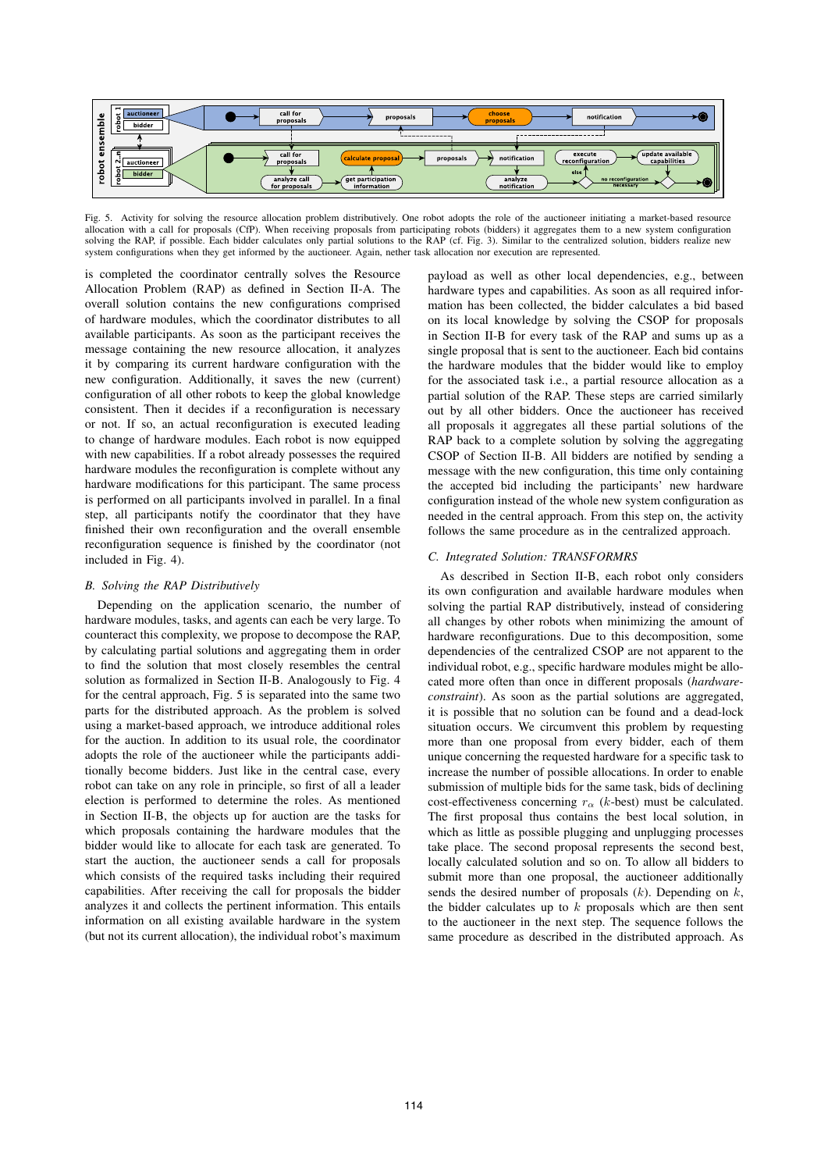

Fig. 5. Activity for solving the resource allocation problem distributively. One robot adopts the role of the auctioneer initiating a market-based resource allocation with a call for proposals (CfP). When receiving proposals from participating robots (bidders) it aggregates them to a new system configuration solving the RAP, if possible. Each bidder calculates only partial solutions to the RAP (cf. Fig. 3). Similar to the centralized solution, bidders realize new system configurations when they get informed by the auctioneer. Again, nether task allocation nor execution are represented.

is completed the coordinator centrally solves the Resource Allocation Problem (RAP) as defined in Section II-A. The overall solution contains the new configurations comprised of hardware modules, which the coordinator distributes to all available participants. As soon as the participant receives the message containing the new resource allocation, it analyzes it by comparing its current hardware configuration with the new configuration. Additionally, it saves the new (current) configuration of all other robots to keep the global knowledge consistent. Then it decides if a reconfiguration is necessary or not. If so, an actual reconfiguration is executed leading to change of hardware modules. Each robot is now equipped with new capabilities. If a robot already possesses the required hardware modules the reconfiguration is complete without any hardware modifications for this participant. The same process is performed on all participants involved in parallel. In a final step, all participants notify the coordinator that they have finished their own reconfiguration and the overall ensemble reconfiguration sequence is finished by the coordinator (not included in Fig. 4).

## *B. Solving the RAP Distributively*

Depending on the application scenario, the number of hardware modules, tasks, and agents can each be very large. To counteract this complexity, we propose to decompose the RAP, by calculating partial solutions and aggregating them in order to find the solution that most closely resembles the central solution as formalized in Section II-B. Analogously to Fig. 4 for the central approach, Fig. 5 is separated into the same two parts for the distributed approach. As the problem is solved using a market-based approach, we introduce additional roles for the auction. In addition to its usual role, the coordinator adopts the role of the auctioneer while the participants additionally become bidders. Just like in the central case, every robot can take on any role in principle, so first of all a leader election is performed to determine the roles. As mentioned in Section II-B, the objects up for auction are the tasks for which proposals containing the hardware modules that the bidder would like to allocate for each task are generated. To start the auction, the auctioneer sends a call for proposals which consists of the required tasks including their required capabilities. After receiving the call for proposals the bidder analyzes it and collects the pertinent information. This entails information on all existing available hardware in the system (but not its current allocation), the individual robot's maximum payload as well as other local dependencies, e.g., between hardware types and capabilities. As soon as all required information has been collected, the bidder calculates a bid based on its local knowledge by solving the CSOP for proposals in Section II-B for every task of the RAP and sums up as a single proposal that is sent to the auctioneer. Each bid contains the hardware modules that the bidder would like to employ for the associated task i.e., a partial resource allocation as a partial solution of the RAP. These steps are carried similarly out by all other bidders. Once the auctioneer has received all proposals it aggregates all these partial solutions of the RAP back to a complete solution by solving the aggregating CSOP of Section II-B. All bidders are notified by sending a message with the new configuration, this time only containing the accepted bid including the participants' new hardware configuration instead of the whole new system configuration as needed in the central approach. From this step on, the activity follows the same procedure as in the centralized approach.

#### *C. Integrated Solution: TRANSFORMRS*

As described in Section II-B, each robot only considers its own configuration and available hardware modules when solving the partial RAP distributively, instead of considering all changes by other robots when minimizing the amount of hardware reconfigurations. Due to this decomposition, some dependencies of the centralized CSOP are not apparent to the individual robot, e.g., specific hardware modules might be allocated more often than once in different proposals (*hardwareconstraint*). As soon as the partial solutions are aggregated, it is possible that no solution can be found and a dead-lock situation occurs. We circumvent this problem by requesting more than one proposal from every bidder, each of them unique concerning the requested hardware for a specific task to increase the number of possible allocations. In order to enable submission of multiple bids for the same task, bids of declining cost-effectiveness concerning  $r_{\alpha}$  (k-best) must be calculated. The first proposal thus contains the best local solution, in which as little as possible plugging and unplugging processes take place. The second proposal represents the second best, locally calculated solution and so on. To allow all bidders to submit more than one proposal, the auctioneer additionally sends the desired number of proposals  $(k)$ . Depending on  $k$ , the bidder calculates up to  $k$  proposals which are then sent to the auctioneer in the next step. The sequence follows the same procedure as described in the distributed approach. As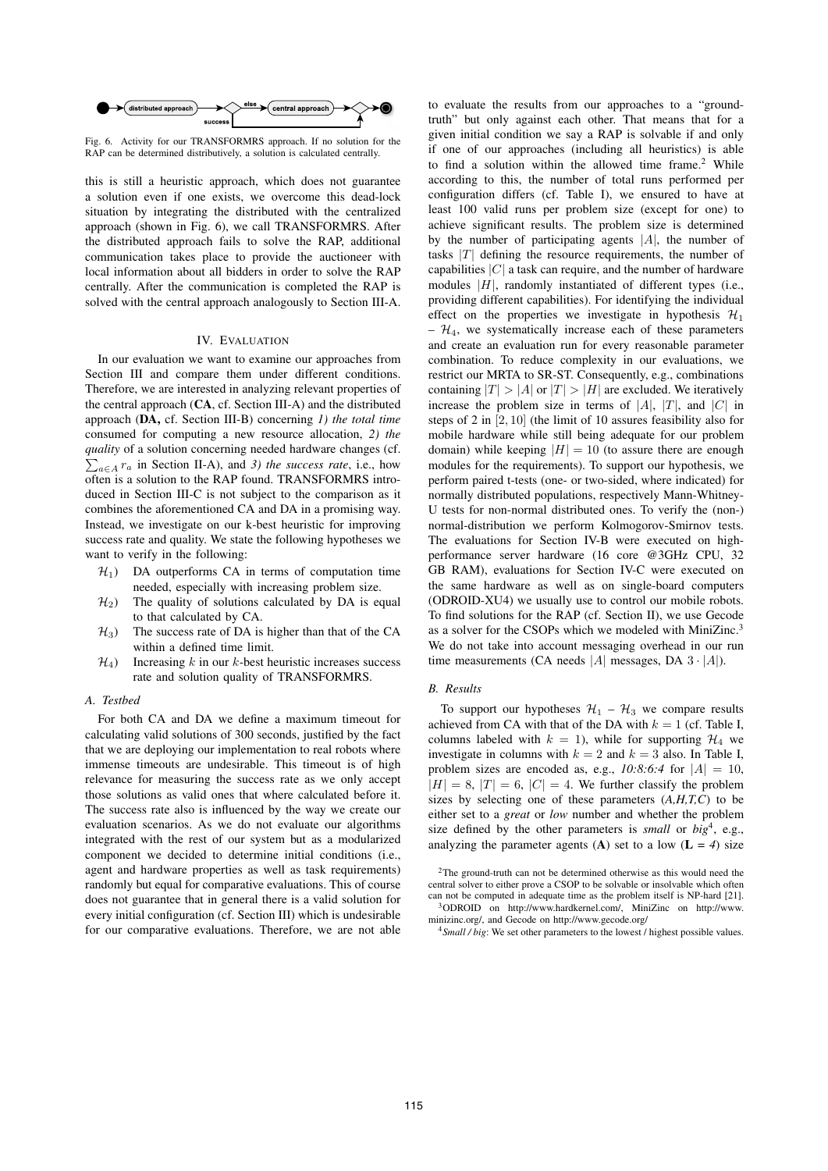

Fig. 6. Activity for our TRANSFORMRS approach. If no solution for the RAP can be determined distributively, a solution is calculated centrally.

this is still a heuristic approach, which does not guarantee a solution even if one exists, we overcome this dead-lock situation by integrating the distributed with the centralized approach (shown in Fig. 6), we call TRANSFORMRS. After the distributed approach fails to solve the RAP, additional communication takes place to provide the auctioneer with local information about all bidders in order to solve the RAP centrally. After the communication is completed the RAP is solved with the central approach analogously to Section III-A.

## IV. EVALUATION

In our evaluation we want to examine our approaches from Section III and compare them under different conditions. Therefore, we are interested in analyzing relevant properties of the central approach (CA, cf. Section III-A) and the distributed approach (DA, cf. Section III-B) concerning *1) the total time* consumed for computing a new resource allocation, *2) the q uality* of a solution concerning needed hardware changes (cf.  $\sum_{a \in A} r_a$  in Section II-A), and *3) the success rate*, i.e., how often is a solution to the RAP found. TRANSFORMRS introduced in Section III-C is not subject to the comparison as it combines the aforementioned CA and DA in a promising way. Instead, we investigate on our k-best heuristic for improving success rate and quality. We state the following hypotheses we want to verify in the following:

- $H_1$ ) DA outperforms CA in terms of computation time needed, especially with increasing problem size.
- $H<sub>2</sub>$ ) The quality of solutions calculated by DA is equal to that calculated by CA.
- $H_3$ ) The success rate of DA is higher than that of the CA within a defined time limit.
- $H_4$ ) Increasing k in our k-best heuristic increases success rate and solution quality of TRANSFORMRS.

## *A. Testbed*

For both CA and DA we define a maximum timeout for calculating valid solutions of 300 seconds, justified by the fact that we are deploying our implementation to real robots where immense timeouts are undesirable. This timeout is of high relevance for measuring the success rate as we only accept those solutions as valid ones that where calculated before it. The success rate also is influenced by the way we create our evaluation scenarios. As we do not evaluate our algorithms integrated with the rest of our system but as a modularized component we decided to determine initial conditions (i.e., agent and hardware properties as well as task requirements) randomly but equal for comparative evaluations. This of course does not guarantee that in general there is a valid solution for every initial configuration (cf. Section III) which is undesirable for our comparative evaluations. Therefore, we are not able

to evaluate the results from our approaches to a "groundtruth" but only against each other. That means that for a given initial condition we say a RAP is solvable if and only if one of our approaches (including all heuristics) is able to find a solution within the allowed time frame. <sup>2</sup> While according to this, the number of total runs performed per configuration differs (cf. Table I), we ensured to have at least 100 valid runs per problem size (except for one) to achieve significant results. The problem size is determined by the number of participating agents  $|A|$ , the number of tasks  $|T|$  defining the resource requirements, the number of capabilities  $|C|$  a task can require, and the number of hardware modules  $|H|$ , randomly instantiated of different types (i.e., providing different capabilities). For identifying the individual effect on the properties we investigate in hypothesis  $\mathcal{H}_1$  $H_4$ , we systematically increase each of these parameters and create an evaluation run for every reasonable parameter combination. To reduce complexity in our evaluations, we restrict our MRTA to SR-ST. Consequently, e.g., combinations containing  $|T| > |A|$  or  $|T| > |H|$  are excluded. We iteratively increase the problem size in terms of  $|A|, |T|$ , and  $|C|$  in steps of 2 in [2, 10] (the limit of 10 assures feasibility also for mobile hardware while still being adequate for our problem domain) while keeping  $|H| = 10$  (to assure there are enough modules for the requirements). To support our hypothesis, we perform paired t-tests (one- or two-sided, where indicated) for normally distributed populations, respectively Mann-Whitney-U tests for non-normal distributed ones. To verify the (non-) normal-distribution we perform Kolmogorov-Smirnov tests. The evaluations for Section IV-B were executed on highperformance server hardware (16 core @3GHz CPU, 32 GB RAM), evaluations for Section IV-C were executed on the same hardware as well as on single-board computers (ODROID-XU4) we usually use to control our mobile robots. To find solutions for the RAP (cf. Section II), we use Gecode as a solver for the CSOPs which we modeled with MiniZinc.<sup>3</sup> We do not take into account messaging overhead in our run time measurements (CA needs |A| messages, DA  $3 \cdot |A|$ ).

#### *B. Results*

To support our hypotheses  $\mathcal{H}_1 - \mathcal{H}_3$  we compare results achieved from CA with that of the DA with  $k = 1$  (cf. Table I, columns labeled with  $k = 1$ , while for supporting  $\mathcal{H}_4$  we investigate in columns with  $k = 2$  and  $k = 3$  also. In Table I, problem sizes are encoded as, e.g.,  $10:8:6:4$  for  $|A| = 10$ ,  $|H| = 8$ ,  $|T| = 6$ ,  $|C| = 4$ . We further classify the problem sizes by selecting one of these parameters (*A,H,T,C*) to be either set to a *great* or *low* number and whether the problem size defined by the other parameters is *small* or  $big<sup>4</sup>$ , e.g., analyzing the parameter agents (A) set to a low  $(L = 4)$  size

<sup>2</sup>The ground-truth can not be determined otherwise as this would need the central solver to either prove a CSOP to be solvable or insolvable which often can not be computed in adequate time as the problem itself is NP-hard [21]. <sup>3</sup>ODROID on http://www.hardkernel.com/, MiniZinc on http://www.

minizinc.org/, and Gecode on http://www.gecode.org/ <sup>4</sup>*Small / big*: We set other parameters to the lowest / highest possible values.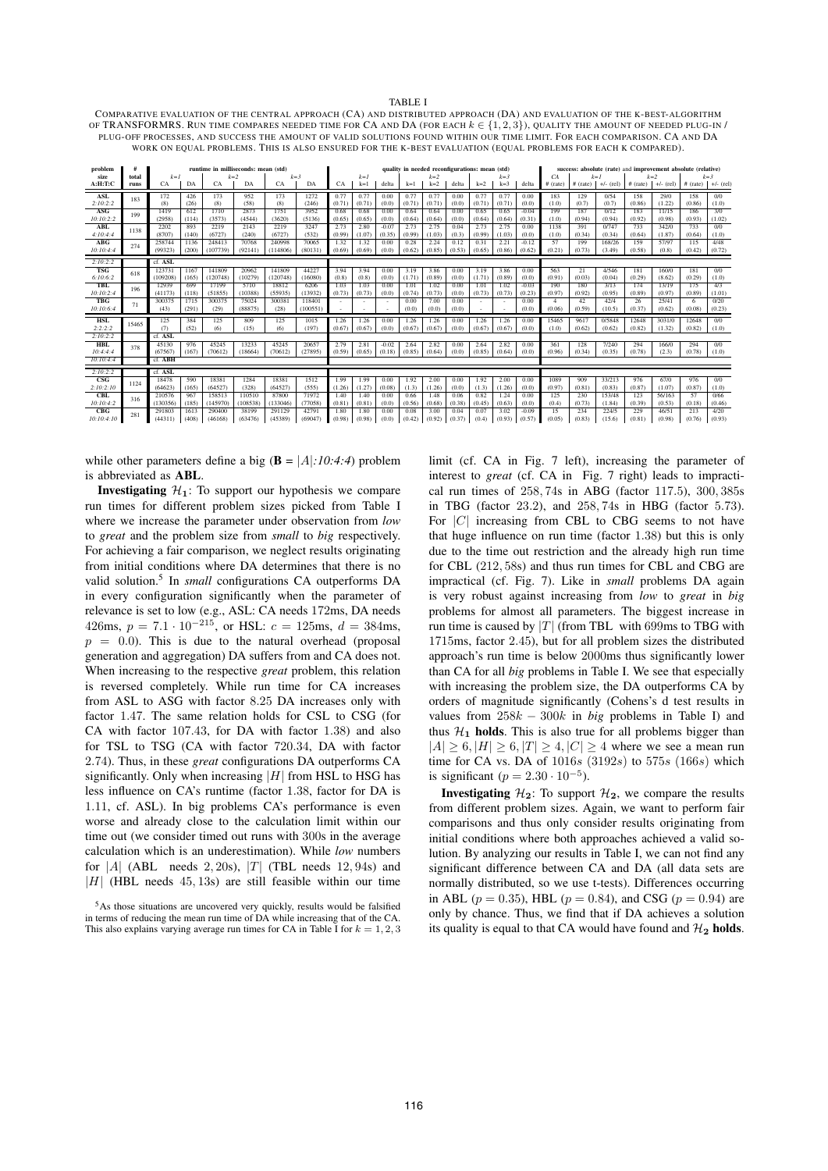TABLE I COMPARATIVE EVALUATION OF THE CENTRAL APPROACH (CA) AND DISTRIBUTED APPROACH (DA) AND EVALUATION OF THE K-BEST-ALGORITHM OF TRANSFORMRS. RUN TIME COMPARES NEEDED TIME FOR CA AND DA (FOR EACH  $k \in \{1, 2, 3\}$ ), QUALITY THE AMOUNT OF NEEDED PLUG-IN / PLUG-OFF PROCESSES, AND SUCCESS THE AMOUNT OF VALID SOLUTIONS FOUND WITHIN OUR TIME LIMIT. FOR EACH COMPARISON. CA AND DA WORK ON EQUAL PROBLEMS. THIS IS ALSO ENSURED FOR THE K-BEST EVALUATION (EQUAL PROBLEMS FOR EACH K COMPARED).

| problem                 | total | runtime in milliseconds: mean (std) |       |          |          |          |         | quality in needed reconfigurations: mean (std) |        |         |        |        |        |         |        |         | success: absolute (rate) and improvement absolute (relative) |            |             |            |             |            |            |  |  |
|-------------------------|-------|-------------------------------------|-------|----------|----------|----------|---------|------------------------------------------------|--------|---------|--------|--------|--------|---------|--------|---------|--------------------------------------------------------------|------------|-------------|------------|-------------|------------|------------|--|--|
| size                    |       | $k = I$                             |       |          | $k=2$    |          | $k=3$   |                                                | $k=1$  |         |        | $k=2$  |        | $k = 3$ |        |         | CА                                                           | $k = 1$    |             | $k=2$      |             | $k = 3$    |            |  |  |
| A:H:T:G                 | runs  | CA                                  | DA    | CA       | DA       | CA       | DA      | CA                                             | $k=1$  | delta   | $k=1$  | $k=2$  | delta  | $k=2$   | $k=3$  | delta   | $#$ (rate)                                                   | $#$ (rate) | $+/-$ (rel) | $#$ (rate) | $+/-$ (rel) | $#$ (rate) | $+/-$ (rel |  |  |
| ASL                     | 183   | 172                                 | 426   | 173      | 952      | 173      | 1272    | 0.77                                           | 0.77   | 0.00    | 0.77   | 0.77   | 0.00   | 0.77    | 0.77   | 0.00    | 183                                                          | 129        | 0/54        | 158        | 29/0        | 158        | 0/0        |  |  |
| 2:10:2:2                |       | (8)                                 | (26)  | (8)      | (58)     | (8)      | (246)   | (0.71)                                         | (0.71) | (0.0)   | (0.71) | (0.71) | (0.0)  | (0.71)  | (0.71) | (0.0)   | (1.0)                                                        | (0.7)      | (0.7)       | (0.86)     | (1.22)      | (0.86)     | (1.0)      |  |  |
| <b>ASG</b>              | 199   | 1419                                | 612   | 1710     | 2873     | 1751     | 3952    | 0.68                                           | 0.68   | 0.00    | 0.64   | 0.64   | 0.00   | 0.65    | 0.65   | $-0.04$ | 199                                                          | 187        | 0/12        | 183        | 11/15       | 186        | 3/0        |  |  |
| 10:10:2:2               |       | (2958)                              | (114) | (3573)   | (4544)   | (3620)   | (5136)  | (0.65)                                         | (0.65) | (0.0)   | (0.64) | (0.64) | (0.0)  | (0.64)  | (0.64) | (0.31)  | (1.0)                                                        | (0.94)     | (0.94)      | (0.92)     | (0.98)      | (0.93)     | (1.02)     |  |  |
| <b>ABL</b>              | 1138  | 2202                                | 893   | 2219     | 2143     | 2219     | 3247    | 2.73                                           | 2.80   | $-0.07$ | 2.73   | 2.75   | 0.04   | 2.73    | 2.75   | 0.00    | 1138                                                         | 391        | 0/747       | 733        | 342/0       | 733        | 0/0        |  |  |
| 4:10:4:4                |       | (8707)                              | (140) | (6727)   | (240)    | (6727)   | (532)   | (0.99)                                         | (1.07) | (0.35)  | (0.99) | (1.03) | (0.3)  | (0.99)  | (1.03) | (0.0)   | (1.0)                                                        | (0.34)     | (0.34)      | (0.64)     | (1.87)      | (0.64)     | (1.0)      |  |  |
| ABG                     | 274   | 258744                              | 1136  | 248413   | 70768    | 240998   | 70065   | 1.32                                           | 1.32   | 0.00    | 0.28   | 2.24   | 0.12   | 0.31    | 2.21   | $-0.12$ | 57                                                           | 199        | 168/26      | 159        | 57/97       | 115        | 4/48       |  |  |
| 10:10:4:4               |       | (99323)                             | (200) | (107739) | (92141)  | (114806) | (80131) | (0.69)                                         | (0.69) | (0.0)   | (0.62) | (0.85) | (0.53) | (0.65)  | (0.86) | (0.62)  | (0.21)                                                       | (0.73)     | (3.49)      | (0.58)     | (0.8)       | (0.42)     | (0.72)     |  |  |
| 2:10:2:2                |       | cf. ASL                             |       |          |          |          |         |                                                |        |         |        |        |        |         |        |         |                                                              |            |             |            |             |            |            |  |  |
| <b>TSG</b>              | 618   | 123731                              | 1167  | 141809   | 20962    | 141809   | 44227   | 3.94                                           | 3.94   | 0.00    | 3.19   | 3.86   | 0.00   | 3.19    | 3.86   | 0.00    | 563                                                          | 21         | 4/546       | 181        | 160/0       | 181        | 0/0        |  |  |
| 6:10:6:2                |       | (109208)                            | (165) | (120748) | (10279)  | (120748) | (16080) | (0.8)                                          | (0.8)  | (0.0)   | (1.71) | (0.89) | (0.0)  | (1.71)  | (0.89) | (0.0)   | (0.91)                                                       | (0.03)     | (0.04)      | (0.29)     | (8.62)      | (0.29)     | (1.0)      |  |  |
| TBL                     | 196   | 12939                               | 699   | 17199    | 5710     | 18812    | 6206    | 1.03                                           | 1.03   | 0.00    | 1.01   | 1.02   | 0.00   | 1.01    | 1.02   | $-0.03$ | 190                                                          | 180        | 3/13        | 174        | 13/19       | 175        | 4/3        |  |  |
| 10:10:2:4               |       | (41173)                             | (118) | (51855)  | (10388)  | (55935)  | (13932) | (0.73)                                         | (0.73) | (0.0)   | (0.74) | (0.73) | (0.0)  | (0.73)  | (0.73) | (0.23)  | (0.97)                                                       | (0.92)     | (0.95)      | (0.89)     | (0.97)      | (0.89)     | (1.01)     |  |  |
| <b>TBG</b>              | 71    | 300375                              | 1715  | 300375   | 75024    | 300381   | 118401  |                                                | ٠      | ٠       | 0.00   | 7.00   | 0.00   |         |        | 0.00    | $\overline{4}$                                               | 42         | 42/4        | 26         | 25/41       | -6         | 0/20       |  |  |
| 10:10:6:4               |       | (43)                                | (291) | (29)     | (88875)  | (28)     | (100551 |                                                |        |         | (0.0)  | (0.0)  | (0.0)  |         |        | (0.0)   | (0.06)                                                       | (0.59)     | (10.5)      | (0.37)     | (0.62)      | (0.08)     | (0.23)     |  |  |
| <b>HSL</b>              | 15465 | 125                                 | 384   | 125      | 809      | 125      | 1015    | 1.26                                           | 1.26   | 0.00    | 1.26   | 1.26   | 0.00   | 1.26    | 1.26   | 0.00    | 15465                                                        | 9617       | 0/5848      | 12648      | 3031/0      | 12648      | 0/0        |  |  |
| 2:2:2:2                 |       | (7)                                 | (52)  | (6)      | (15)     | (6)      | (197)   | (0.67)                                         | (0.67) | (0.0)   | (0.67) | (0.67) | (0.0)  | (0.67)  | (0.67) | (0.0)   | (1.0)                                                        | (0.62)     | (0.62)      | (0.82)     | (1.32)      | (0.82)     | (1.0)      |  |  |
| 2:10:2:2                |       | cf. ASL                             |       |          |          |          |         |                                                |        |         |        |        |        |         |        |         |                                                              |            |             |            |             |            |            |  |  |
| <b>HBL</b>              | 378   | 45130                               | 976   | 45245    | 13233    | 45245    | 20657   | 2.79                                           | 2.81   | $-0.02$ | 2.64   | 2.82   | 0.00   | 2.64    | 2.82   | 0.00    | 361                                                          | 128        | 7/240       | 294        | 166/0       | 294        | 0/0        |  |  |
| 10.4.4.4                |       | (67567                              | (167) | (70612)  | (18664)  | (70612)  | (27895) | (0.59)                                         | (0.65) | (0.18)  | (0.85) | (0.64) | (0.0)  | (0.85)  | (0.64) | (0.0)   | (0.96)                                                       | (0.34)     | (0.35)      | (0.78)     | (2.3)       | (0.78)     | (1.0)      |  |  |
| 10:10:4:4               |       | cf. ABH                             |       |          |          |          |         |                                                |        |         |        |        |        |         |        |         |                                                              |            |             |            |             |            |            |  |  |
| 2:10:2:2                |       | cf. ASL                             |       |          |          |          |         |                                                |        |         |        |        |        |         |        |         |                                                              |            |             |            |             |            |            |  |  |
| $\overline{\text{csg}}$ | 1124  | 18478                               | 590   | 18381    | 1284     | 18381    | 1512    | 1.99                                           | 1.99   | 0.00    | 1.92   | 2.00   | 0.00   | 1.92    | 2.00   | 0.00    | 1089                                                         | 909        | 33/213      | 976        | 67/0        | 976        | 0/0        |  |  |
| 2:10:2:10               |       | (64623)                             | (165) | (64527)  | (328)    | (64527)  | (555)   | (1.26)                                         | (1.27) | (0.08)  | (1.3)  | (1.26) | (0.0)  | (1.3)   | (1.26) | (0.0)   | (0.97)                                                       | (0.81)     | (0.83)      | (0.87)     | (1.07)      | (0.87)     | (1.0)      |  |  |
| <b>CBL</b>              | 316   | 210576                              | 967   | 158513   | 110510   | 87800    | 71972   | 1.40                                           | 1.40   | 0.00    | 0.66   | 1.48   | 0.06   | 0.82    | 1.24   | 0.00    | 125                                                          | 230        | 153/48      | 123        | 56/163      | 57         | 0/66       |  |  |
| 10:10:4:2               |       | (130356)                            | (185) | (145970) | (108538) | (133046) | (77058) | (0.81)                                         | (0.81) | (0.0)   | (0.56) | (0.68) | (0.38) | (0.45)  | (0.63) | (0.0)   | (0.4)                                                        | (0.73)     | (1.84)      | (0.39)     | (0.53)      | (0.18)     | (0.46)     |  |  |
| CBG                     | 281   | 291803                              | 1613  | 290400   | 38199    | 291129   | 42791   | 1.80                                           | 1.80   | 0.00    | 0.08   | 3.00   | 0.04   | 0.07    | 3.02   | $-0.09$ | 15                                                           | 234        | 224/5       | 229        | 46/51       | 213        | 4/20       |  |  |
| 10:10:4:10              |       | (44311)                             | (408) | (46168)  | (63476)  | (45389)  | (69047) | (0.98)                                         | (0.98) | (0.0)   | (0.42) | (0.92) | (0.37) | (0.4)   | (0.93) | (0.57)  | (0.05)                                                       | (0.83)     | (15.6)      | (0.81)     | (0.98)      | (0.76)     | (0.93)     |  |  |

while other parameters define a big  $(\mathbf{B} = |A|:10:4:4)$  problem is abbreviated as ABL.

**Investigating**  $\mathcal{H}_1$ : To support our hypothesis we compare run times for different problem sizes picked from Table I where we increase the parameter under observation from *low* to *great* and the problem size from *small* to *big* respectively. For achieving a fair comparison, we neglect results originating from initial conditions where DA determines that there is no valid solution. 5 In *small* configurations CA outperforms DA in every configuration significantly when the parameter of relevance is set to low (e.g., ASL: CA needs 172ms, DA needs 426ms,  $p = 7.1 \cdot 10^{-215}$ , or HSL:  $c = 125$ ms,  $d = 384$ ms,  $p = 0.0$ ). This is due to the natural overhead (proposal generation and aggregation) DA suffers from and CA does not. When increasing to the respective *great* problem, this relation is reversed completely. While run time for CA increases from ASL to ASG with factor 8.25 DA increases only with factor 1.47. The same relation holds for CSL to CSG (for CA with factor 107.43, for DA with factor 1.38) and also for TSL to TSG (CA with factor 720.34, DA with factor 2.74). Thus, in these *great* configurations DA outperforms CA significantly. Only when increasing  $|H|$  from HSL to HSG has less influence on CA's runtime (factor 1.38, factor for DA is 1.11, cf. ASL). In big problems CA's performance is even worse and already close to the calculation limit within our time out (we consider timed out runs with 300s in the average calculation which is an underestimation). While *low* numbers for  $|A|$  (ABL needs 2, 20s),  $|T|$  (TBL needs 12, 94s) and  $|H|$  (HBL needs 45, 13s) are still feasible within our time

limit (cf. CA in Fig. 7 left), increasing the parameter of interest to *great* (cf. CA in Fig. 7 right) leads to impractical run times of 258, 74s in ABG (factor 117.5), 300, 385s in TBG (factor 23.2), and 258, 74s in HBG (factor 5.73). For  $|C|$  increasing from CBL to CBG seems to not have that huge influence on run time (factor 1.38) but this is only due to the time out restriction and the already high run time for CBL (212, 58s) and thus run times for CBL and CBG are impractical (cf. Fig. 7). Like in *small* problems DA again is very robust against increasing from *low* to *great* in *big* problems for almost all parameters. The biggest increase in run time is caused by  $|T|$  (from TBL with 699ms to TBG with 1715ms, factor 2.45), but for all problem sizes the distributed approach's run time is below 2000ms thus significantly lower than CA for all *big* problems in Table I. We see that especially with increasing the problem size, the DA outperforms CA by orders of magnitude significantly (Cohens's d test results in values from  $258k - 300k$  in *big* problems in Table I) and thus  $H_1$  holds. This is also true for all problems bigger than  $|A| \ge 6, |H| \ge 6, |T| \ge 4, |C| \ge 4$  where we see a mean run time for CA vs. DA of  $1016s$  (3192s) to  $575s$  (166s) which is significant ( $p = 2.30 \cdot 10^{-5}$ ).

**Investigating**  $\mathcal{H}_2$ : To support  $\mathcal{H}_2$ , we compare the results from different problem sizes. Again, we want to perform fair comparisons and thus only consider results originating from initial conditions where both approaches achieved a valid solution. By analyzing our results in Table I, we can not find any significant difference between CA and DA (all data sets are normally distributed, so we use t-tests). Differences occurring in ABL ( $p = 0.35$ ), HBL ( $p = 0.84$ ), and CSG ( $p = 0.94$ ) are only by chance. Thus, we find that if DA achieves a solution its quality is equal to that CA would have found and  $\mathcal{H}_2$  holds.

<sup>5</sup>As those situations are uncovered very quickly, results would be falsified in terms of reducing the mean run time of DA while increasing that of the CA. This also explains varying average run times for CA in Table I for  $k = 1, 2, 3$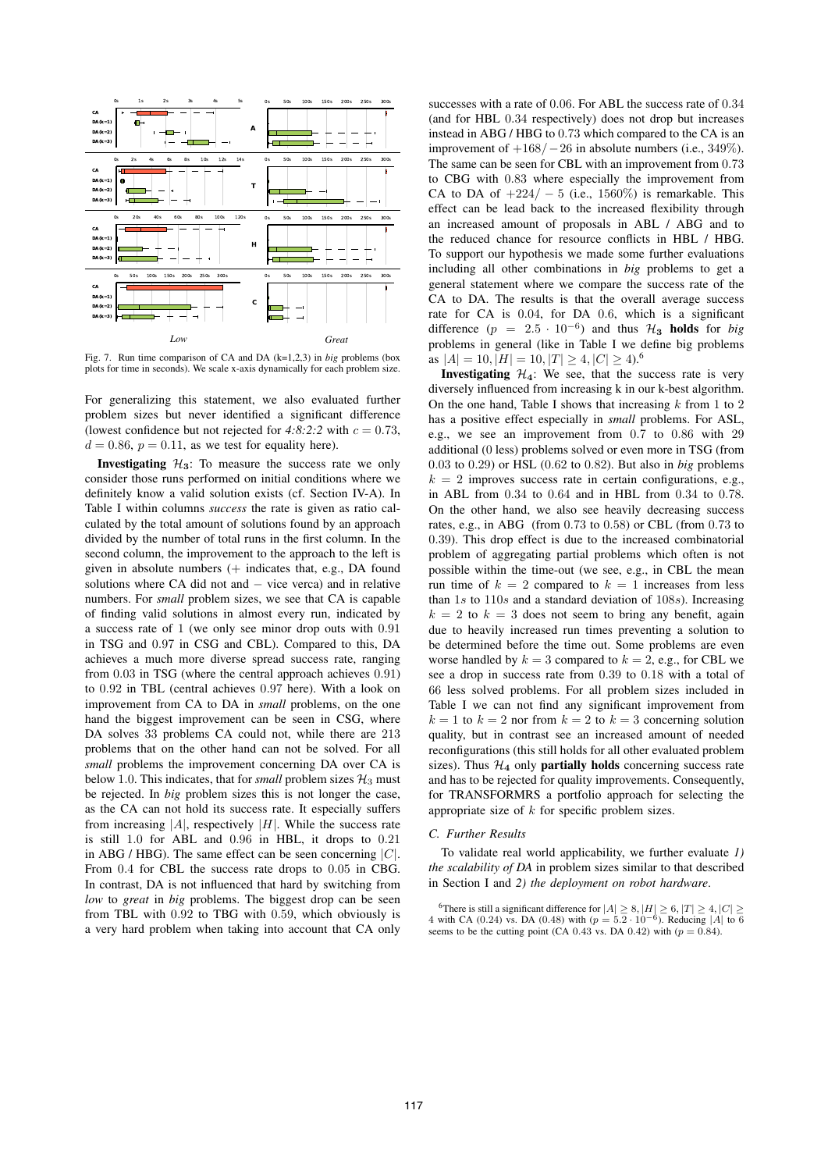

Fig. 7. Run time comparison of CA and DA (k=1,2,3) in *big* problems (box plots for time in seconds). We scale x-axis dynamically for each problem size.

For generalizing this statement, we also evaluated further problem sizes but never identified a significant difference (lowest confidence but not rejected for  $4:8:2:2$  with  $c = 0.73$ ,  $d = 0.86$ ,  $p = 0.11$ , as we test for equality here).

**Investigating**  $\mathcal{H}_3$ : To measure the success rate we only consider those runs performed on initial conditions where we definitely know a valid solution exists (cf. Section IV-A). In Table I within columns *success* the rate is given as ratio calculated by the total amount of solutions found by an approach divided by the number of total runs in the first column. In the second column, the improvement to the approach to the left is given in absolute numbers (+ indicates that, e.g., DA found solutions where CA did not and − vice verca) and in relative numbers. For *small* problem sizes, we see that CA is capable of finding valid solutions in almost every run, indicated by a success rate of 1 (we only see minor drop outs with 0.91 in TSG and 0.97 in CSG and CBL). Compared to this, DA achieves a much more diverse spread success rate, ranging from 0.03 in TSG (where the central approach achieves 0.91) to 0.92 in TBL (central achieves 0.97 here). With a look on improvement from CA to DA in *small* problems, on the one hand the biggest improvement can be seen in CSG, where DA solves 33 problems CA could not, while there are 213 problems that on the other hand can not be solved. For all *small* problems the improvement concerning DA over CA is below 1.0. This indicates, that for *small* problem sizes  $\mathcal{H}_3$  must be rejected. In *big* problem sizes this is not longer the case, as the CA can not hold its success rate. It especially suffers from increasing  $|A|$ , respectively  $|H|$ . While the success rate is still 1.0 for ABL and 0.96 in HBL, it drops to 0.21 in ABG / HBG). The same effect can be seen concerning  $|C|$ . From 0.4 for CBL the success rate drops to 0.05 in CBG. In contrast, DA is not influenced that hard by switching from *low* to *great* in *big* problems. The biggest drop can be seen from TBL with 0.92 to TBG with 0.59, which obviously is a very hard problem when taking into account that CA only successes with a rate of 0.06. For ABL the success rate of 0.34 (and for HBL 0.34 respectively) does not drop but increases instead in ABG / HBG to 0.73 which compared to the CA is an improvement of  $+168/-26$  in absolute numbers (i.e., 349%). The same can be seen for CBL with an improvement from 0.73 to CBG with 0.83 where especially the improvement from CA to DA of  $+224/-5$  (i.e., 1560%) is remarkable. This effect can be lead back to the increased flexibility through an increased amount of proposals in ABL / ABG and to the reduced chance for resource conflicts in HBL / HBG. To support our hypothesis we made some further evaluations including all other combinations in *big* problems to get a general statement where we compare the success rate of the CA to DA. The results is that the overall average success rate for CA is 0.04, for DA 0.6, which is a significant difference  $(p = 2.5 \cdot 10^{-6})$  and thus  $\mathcal{H}_3$  holds for *big* problems in general (like in Table I we define big problems as  $|A| = 10$ ,  $|H| = 10$ ,  $|T| \ge 4$ ,  $|C| \ge 4$ ).<sup>6</sup>

**Investigating**  $H_4$ : We see, that the success rate is very diversely influenced from increasing k in our k-best algorithm. On the one hand, Table I shows that increasing  $k$  from 1 to 2 has a positive effect especially in *small* problems. For ASL, e.g., we see an improvement from 0.7 to 0.86 with 29 additional (0 less) problems solved or even more in TSG (from 0.03 to 0.29) or HSL (0.62 to 0.82). But also in *big* problems  $k = 2$  improves success rate in certain configurations, e.g., in ABL from 0.34 to 0.64 and in HBL from 0.34 to 0.78. On the other hand, we also see heavily decreasing success rates, e.g., in ABG (from 0.73 to 0.58) or CBL (from 0.73 to 0.39). This drop effect is due to the increased combinatorial problem of aggregating partial problems which often is not possible within the time-out (we see, e.g., in CBL the mean run time of  $k = 2$  compared to  $k = 1$  increases from less than  $1s$  to  $110s$  and a standard deviation of  $108s$ ). Increasing  $k = 2$  to  $k = 3$  does not seem to bring any benefit, again due to heavily increased run times preventing a solution to be determined before the time out. Some problems are even worse handled by  $k = 3$  compared to  $k = 2$ , e.g., for CBL we see a drop in success rate from 0.39 to 0.18 with a total of 66 less solved problems. For all problem sizes included in Table I we can not find any significant improvement from  $k = 1$  to  $k = 2$  nor from  $k = 2$  to  $k = 3$  concerning solution quality, but in contrast see an increased amount of needed reconfigurations (this still holds for all other evaluated problem sizes). Thus  $\mathcal{H}_4$  only **partially holds** concerning success rate and has to be rejected for quality improvements. Consequently, for TRANSFORMRS a portfolio approach for selecting the appropriate size of k for specific problem sizes.

## *C. Further Results*

To validate real world applicability, we further evaluate *1) the scalability of DA* in problem sizes similar to that described in Section I and *2) the deployment on robot hardware*.

<sup>&</sup>lt;sup>6</sup>There is still a significant difference for  $|A| \ge 8$ ,  $|H| \ge 6$ ,  $|T| \ge 4$ ,  $|C| \ge 6$ 4 with CA (0.24) vs. DA (0.48) with ( $p = 5.2 \cdot 10^{-6}$ ). Reducing |A| to 6 seems to be the cutting point (CA 0.43 vs. DA 0.42) with ( $p = 0.84$ ).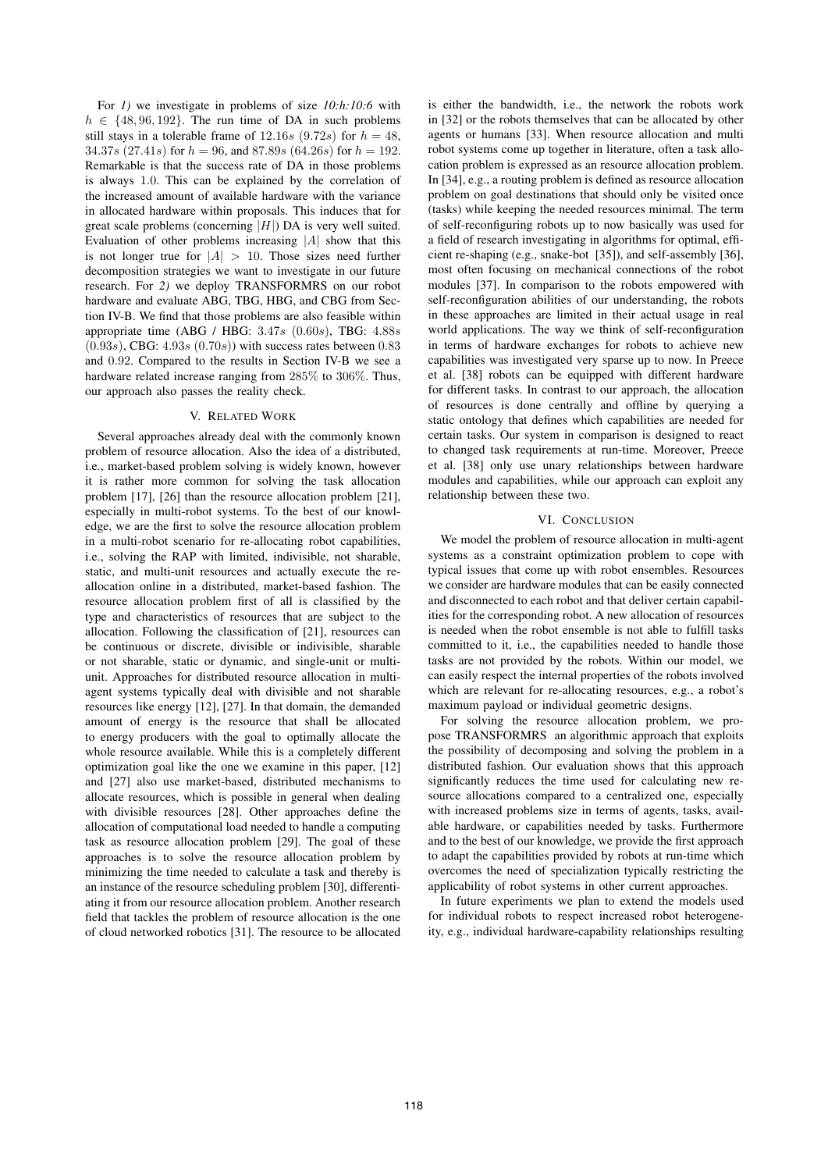For *1)* we investigate in problems of size *10:h:10:6* with  $h \in \{48, 96, 192\}$ . The run time of DA in such problems still stays in a tolerable frame of 12.16s (9.72s) for  $h = 48$ , 34.37s (27.41s) for  $h = 96$ , and 87.89s (64.26s) for  $h = 192$ . Remarkable is that the success rate of DA in those problems is always 1.0. This can be explained by the correlation of the increased amount of available hardware with the variance in allocated hardware within proposals. This induces that for great scale problems (concerning  $|H|$ ) DA is very well suited. Evaluation of other problems increasing  $|A|$  show that this is not longer true for  $|A| > 10$ . Those sizes need further decomposition strategies we want to investigate in our future research. For *2)* we deploy TRANSFORMRS on our robot hardware and evaluate ABG, TBG, HBG, and CBG from Section IV-B. We find that those problems are also feasible within appropriate time (ABG / HBG:  $3.47s$  (0.60s), TBG:  $4.88s$  $(0.93s)$ , CBG:  $4.93s$   $(0.70s)$ ) with success rates between 0.83 and 0.92. Compared to the results in Section IV-B we see a hardware related increase ranging from 285% to 306%. Thus, our approach also passes the reality check.

## V. RELATED WORK

Several approaches already deal with the commonly known problem of resource allocation. Also the idea of a distributed, i.e., market-based problem solving is widely known, however it is rather more common for solving the task allocation problem [17], [26] than the resource allocation problem [21], especially in multi-robot systems. To the best of our knowledge, we are the first to solve the resource allocation problem in a multi-robot scenario for re-allocating robot capabilities, i.e., solving the RAP with limited, indivisible, not sharable, static, and multi-unit resources and actually execute the reallocation online in a distributed, market-based fashion. The resource allocation problem first of all is classified by the type and characteristics of resources that are subject to the allocation. Following the classification of [21], resources can be continuous or discrete, divisible or indivisible, sharable or not sharable, static or dynamic, and single-unit or multiunit. Approaches for distributed resource allocation in multiagent systems typically deal with divisible and not sharable resources like energy [12], [27]. In that domain, the demanded amount of energy is the resource that shall be allocated to energy producers with the goal to optimally allocate the whole resource available. While this is a completely different optimization goal like the one we examine in this paper, [12] and [27] also use market-based, distributed mechanisms to allocate resources, which is possible in general when dealing with divisible resources [28]. Other approaches define the allocation of computational load needed to handle a computing task as resource allocation problem [29]. The goal of these approaches is to solve the resource allocation problem by minimizing the time needed to calculate a task and thereby is an instance of the resource scheduling problem [30], differentiating it from our resource allocation problem. Another research field that tackles the problem of resource allocation is the one of cloud networked robotics [31]. The resource to be allocated

is either the bandwidth, i.e., the network the robots work in [32] or the robots themselves that can be allocated by other agents or humans [33]. When resource allocation and multi robot systems come up together in literature, often a task allocation problem is expressed as an resource allocation problem. In [34], e.g., a routing problem is defined as resource allocation problem on goal destinations that should only be visited once (tasks) while keeping the needed resources minimal. The term of self-reconfiguring robots up to now basically was used for a field of research investigating in algorithms for optimal, efficient re-shaping (e.g., snake-bot [35]), and self-assembly [36], most often focusing on mechanical connections of the robot modules [37]. In comparison to the robots empowered with self-reconfiguration abilities of our understanding, the robots in these approaches are limited in their actual usage in real world applications. The way we think of self-reconfiguration in terms of hardware exchanges for robots to achieve new capabilities was investigated very sparse up to now. In Preece et al. [38] robots can be equipped with different hardware for different tasks. In contrast to our approach, the allocation of resources is done centrally and offline by querying a static ontology that defines which capabilities are needed for certain tasks. Our system in comparison is designed to react to changed task requirements at run-time. Moreover, Preece et al. [38] only use unary relationships between hardware modules and capabilities, while our approach can exploit any relationship between these two.

## VI. CONCLUSION

We model the problem of resource allocation in multi-agent systems as a constraint optimization problem to cope with typical issues that come up with robot ensembles. Resources we consider are hardware modules that can be easily connected and disconnected to each robot and that deliver certain capabilities for the corresponding robot. A new allocation of resources is needed when the robot ensemble is not able to fulfill tasks committed to it, i.e., the capabilities needed to handle those tasks are not provided by the robots. Within our model, we can easily respect the internal properties of the robots involved which are relevant for re-allocating resources, e.g., a robot's maximum payload or individual geometric designs.

For solving the resource allocation problem, we propose TRANSFORMRS an algorithmic approach that exploits the possibility of decomposing and solving the problem in a distributed fashion. Our evaluation shows that this approach significantly reduces the time used for calculating new resource allocations compared to a centralized one, especially with increased problems size in terms of agents, tasks, available hardware, or capabilities needed by tasks. Furthermore and to the best of our knowledge, we provide the first approach to adapt the capabilities provided by robots at run-time which overcomes the need of specialization typically restricting the applicability of robot systems in other current approaches.

In future experiments we plan to extend the models used for individual robots to respect increased robot heterogeneity, e.g., individual hardware-capability relationships resulting